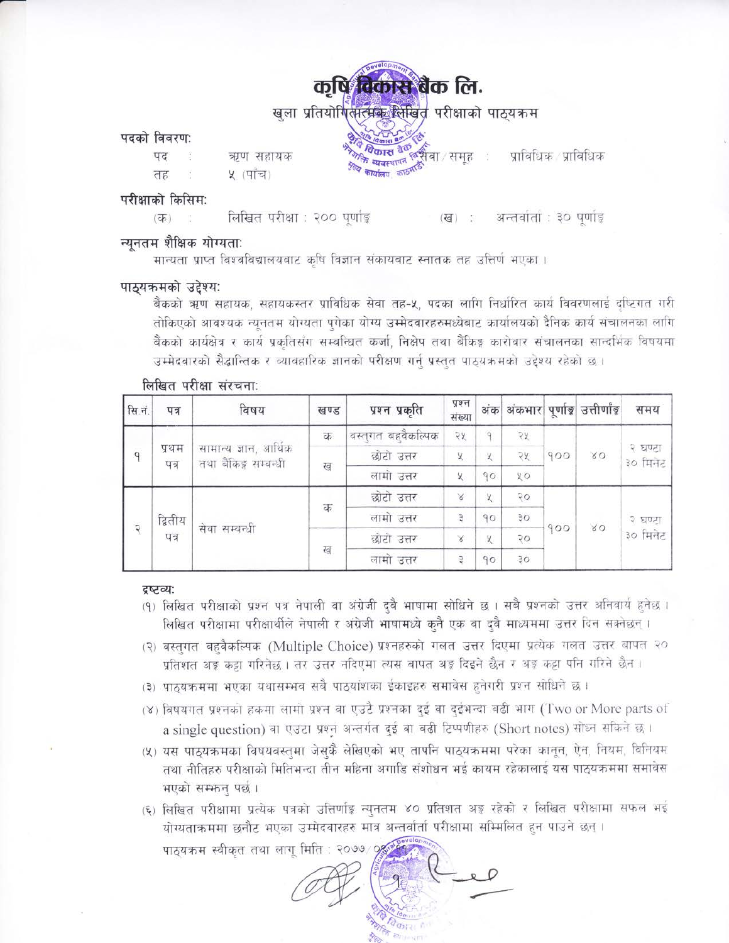# कृषि विकास बैंक लि.

खला प्रतियोगितात्मक लिखित परीक्षाको पाठयकम

### पदको विवरण:

पद ऋण सहायक ५ (पाँच) तह

**<sup>0</sup>कास <sup>हाथ</sup> छुसैँचा** / समूह ः प्राविधिक प्राविधिक

### परीक्षाको किसिम:

लिखित परीक्षा : २०० पर्णाङ्ग अन्तवांतां : ३० पूर्णाङ्क  $(\overline{d\overline{b}})$  $\epsilon$  (ख)

### न्यनतम शैक्षिक योग्यता:

मान्यता प्राप्त विश्वविद्यालयबाट कृषि विज्ञान संकायबाट स्नातक तह उत्तिर्ण भएका ।

### पाठ्यक्रमको उद्देश्य:

बैंकको ऋण सहायक, सहायकस्तर प्राविधिक सेवा तह-५, पदका लागि निर्धारित कार्य विवरणलाई दृष्टिगत गरी तोकिएको आवश्यक न्यनतम योग्यता पगेका योग्य उम्मेदवारहरुमध्येबाट कार्यालयको दैनिक कार्य संचालनका लागि बैंकको कार्यक्षेत्र र कार्य प्रकतिसँग सम्बन्धित कर्जा, निक्षेप तथा बैंकिङ्ग कारोबार संचालनका सान्दर्भिक विषयमा उम्मेदवारको सैद्धान्तिक र व्यावहारिक ज्ञानको परीक्षण गर्न् प्रस्तुत पाठयक्रमको उद्देश्य रहेको छ ।

| सि.नं.         | पत्र          | विषय                                           | खण्ड | प्रश्न प्रकृति      | पूर्ण<br>संख्या | अंक          |                 |           | अंकभार पूर्णाङ्ग उत्तीर्णाङ्ग | समय                 |
|----------------|---------------|------------------------------------------------|------|---------------------|-----------------|--------------|-----------------|-----------|-------------------------------|---------------------|
|                | प्रथम<br>पत्र | सामान्य ज्ञान, आर्थिक<br>तथा बैंकिङ्ग सम्बन्धी | क    | बस्तुगत बहुवैकल्पिक | २५              | $\mathsf{Q}$ | २५              |           | $\infty$                      | २ घण्टा<br>३० मिनेट |
| q              |               |                                                | ख    | छोटो उत्तर          | X               | X            | २५              | 900       |                               |                     |
|                |               |                                                |      | लामो उत्तर          | X               | 90           | 20              |           |                               |                     |
|                |               |                                                |      | छोटो उत्तर          | $\mathbb X$     | $\times$     | $\sqrt{2}$      | 80<br>900 |                               |                     |
| $\overline{Q}$ | द्वितीय       |                                                | क    | लामो उत्तर          | 3               | 90           | $30^{\circ}$    |           | २ घण्टा                       |                     |
|                | पत्र          | सेवा सम्बन्धी                                  |      | छोटो उत्तर          | R               | X            | २०              |           |                               | ३० मिनेट            |
|                |               |                                                | ख    | लामो उत्तर          | ą               | 90           | 30 <sub>o</sub> |           |                               |                     |

### लिखित परीक्षा संरचना:

### द्रष्टव्य:

- (१) लिखित परीक्षाको प्रश्न पत्र नेपाली वा अंग्रेजी दुबै भाषामा सोधिने छ । सबै प्रश्नको उत्तर अनिवार्य हुनेछ । लिखित परीक्षामा परीक्षार्थीले नेपाली र अंग्रेजी भाषामध्ये कुनै एक वा दवै माध्यममा उत्तर दिन सक्नेछन् ।
- (२) बस्तगत बहुवैकल्पिक (Multiple Choice) प्रश्नहरुको गलत उत्तर दिएमा प्रत्येक गलत उत्तर बापत २० प्रतिशत अड़ू कट्टा गरिनेछ । तर उत्तर नदिएमा त्यस बापत अड़ू दिइने छैन र अड़ू कट्टा पनि गरिने छैन ।
- (३) पाठ्यक्रममा भएका यथासम्भव सबै पाठ्यांशका ईकाइहरु समावेस हुनेगरी प्रश्न सोधिने छ।
- (४) विषयगत प्रश्नको हकमा लामो प्रश्न वा एउटै प्रश्नका दुई वा दुईभन्दा बढी भाग (Two or More parts of a single question) वा एउटा प्रश्न अन्तर्गत दुई वा बढी टिप्पणीहरु (Short notes) सोध्न सकिने छ।
- (५) यस पाठयक्रमका विषयवस्तमा जेसकै लेखिएको भए तापनि पाठयक्रममा परेका कानुन, ऐन, नियम, विनियम तथा नीतिहरु परीक्षाको मितिभन्दा तीन महिना अगाडि संशोधन भई कायम रहेकालाई यस पाठ्यक्रममा समावेस भएको सम्भन्न पर्छ।
- (६) लिखित परीक्षामा प्रत्येक पत्रको उत्तिर्णाङ्ग न्युनतम ४० प्रतिशत अङ्ग रहेको र लिखित परीक्षामा सफल भई योग्यताक्रममा छनौट भएका उम्मेदवारहरु मात्र अन्तर्वार्ता परीक्षामा सम्मिलित हुन पाउने छन् ।

पाठयक्रम स्वीकृत तथा लागु मिति : २०७७ ⁄ 9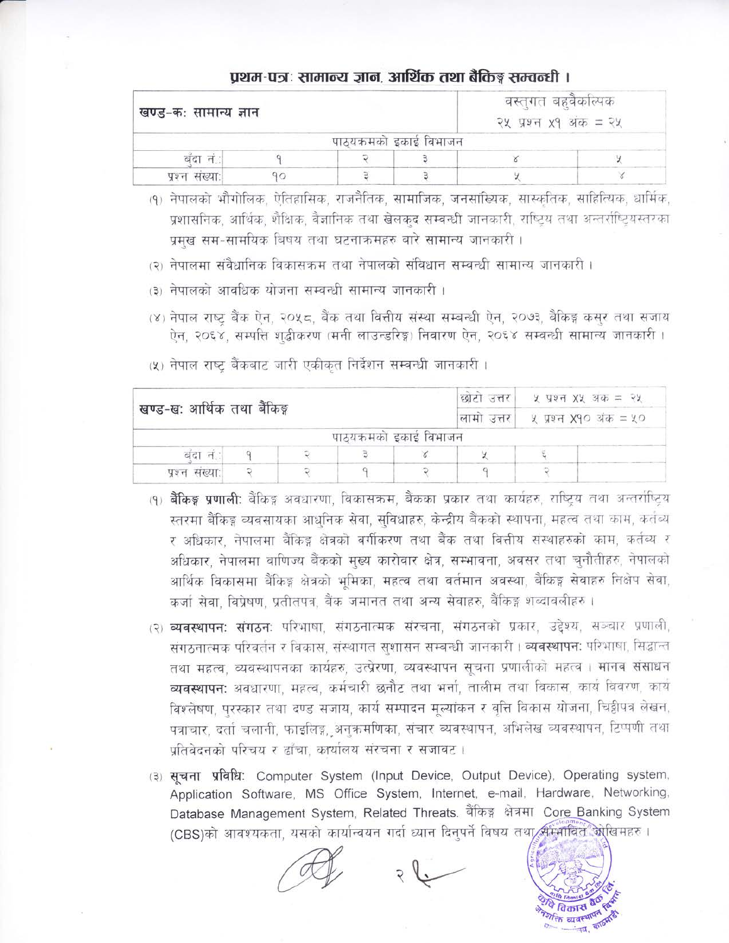### प्रथम-पत्रः सामान्य ज्ञान, आर्थिक तथा बैकिङ्ग सम्वन्धी ।

| खण्ड-कः सामान्य ज्ञान |  |                         |  | वस्तुगत बहुवेकोल्पक<br>२५ प्रश्न $x9$ अंक = २५ |  |  |  |
|-----------------------|--|-------------------------|--|------------------------------------------------|--|--|--|
|                       |  | पाठ्यक्रमको इकाई विभाजन |  |                                                |  |  |  |
| बदा न                 |  |                         |  |                                                |  |  |  |
| प्रश्न संख्या:        |  |                         |  |                                                |  |  |  |

(१) नेपालको भौगोलिक, ऐतिहासिक, राजनैतिक, सामाजिक, जनसांख्यिक, सास्कतिक, साहित्यिक, धार्मिक, प्रशासनिक, आर्थिक, शैक्षिक, वैज्ञानिक तथा खेलकद सम्बन्धी जानकारी, राष्टिय तथा अन्तर्राष्टियस्तरका प्रमख सम-सामयिक बिषय तथा घटनाकमहरु बारे सामान्य जानकारी ।

- (२) नेपालमा संवैधानिक विकासक्रम तथा नेपालको संविधान सम्बन्धी सामान्य जानकारी ।
- (३) नेपालको आवधिक योजना सम्बन्धी सामान्य जानकारी ।
- (४) नेपाल राष्ट्र बैंक ऐन, २०५८, बैंक तथा वित्तीय संस्था सम्बन्धी ऐन, २०७३, बैकिङ्ग कसर तथा सजाय ऐन, २०६४, सम्पत्ति शद्बीकरण (मनी लाउन्डरिङ्ग) निवारण ऐन, २०६४ सम्बन्धी सामान्य जानकारी ।
- छोटो उत्तर ५ प्रश्न XX अंक = २५ खण्ड-ख: आर्थिक तथा बैंकिङ्ग लामो उत्तर ५ पश्न **X**90 अंक = ५० पाठयक्रमको इकाई विभाजन  $\hat{\mathcal{L}}$  $\Xi$ बंदा नं. 9  $\times$  $\chi$  $\tilde{\zeta}$  $\overline{Q}$  $\overline{q}$  $\overline{Q}$  $\mathbf{q}$  $\overline{Q}$  $\overline{\mathcal{Q}}$ प्रश्न संख्या:
- (५) नेपाल राष्ट्र बैंकबाट जारी एकीकृत निर्देशन सम्बन्धी जानकारी।

- (१) **बैंकिङ्ग प्रणाली:** बैंकिङ्ग अवधारणा, विकासक्रम, बैंकका प्रकार तथा कार्यहरु, राष्टिय तथा अन्तर्राष्टिय स्तरमा बैंकिङ्ग व्यवसायका आधनिक सेवा, सुविधाहरु, केन्द्रीय बैंकको स्थापना, महत्व तथा काम, कर्तव्य र अधिकार, नेपालमा बैंकिङ्ग क्षेत्रको बर्गीकरण तथा बैंक तथा वित्तीय संस्थाहरुको काम, कर्तव्य र अधिकार, नेपालमा वाणिज्य बैंकको मुख्य कारोबार क्षेत्र, सम्भावना, अवसर तथा चुनौतीहरु, नेपालको आर्थिक विकासमा बैंकिङ्ग क्षेत्रको भमिका, महत्व तथा वर्तमान अवस्था, बैंकिङ्ग सेवाहरु निक्षेप सेवा, कर्जा सेवा, विप्रेषण, प्रतीतपत्र, बैंक जमानत तथा अन्य सेवाहरु, बैंकिङ्ग शब्दावलीहरु।
- (२) व्यवस्थापन: संगठन: परिभाषा, संगठनात्मक संरचना, संगठनको प्रकार, उद्देश्य, सञ्चार प्रणाली, संगठनात्मक परिवर्तन र विकास, संस्थागत सशासन सम्बन्धी जानकारी। व्यवस्थापनः परिभाषा, सिद्धान्त तथा महत्व, व्यवस्थापनका कार्यहरु, उत्प्रेरणा, व्यवस्थापन सूचना प्रणालीको महत्व । मानव संसाधन व्यवस्थापन: अवधारणा, महत्व, कर्मचारी छनौट तथा भर्ना, तालीम तथा विकास, कार्य विवरण, कार्य विश्लेषण, पुरस्कार तथा दण्ड सजाय, कार्य सम्पादन मुल्यांकन र वृत्ति विकास योजना, चिट्ठीपत्र लेखन, पत्राचार, दर्ता चलानी, फाइलिइ, अनक्रमणिका, संचार व्यवस्थापन, अभिलेख व्यवस्थापन, टिप्पणी तथा प्रतिवेदनको परिचय र ढाँचा, कार्यालय संरचना र सजावट।
- (३) सूचना प्रविधि: Computer System (Input Device, Output Device), Operating system, Application Software, MS Office System, Internet, e-mail, Hardware, Networking, Database Management System, Related Threats. बैंकिङ्ग क्षेत्रमा Core Banking System (CBS)को आवश्यकता, यसको कार्यान्वयन गर्दा ध्यान दिनुपर्ने विषय तथा सम्मवित ओखिमहरु ।

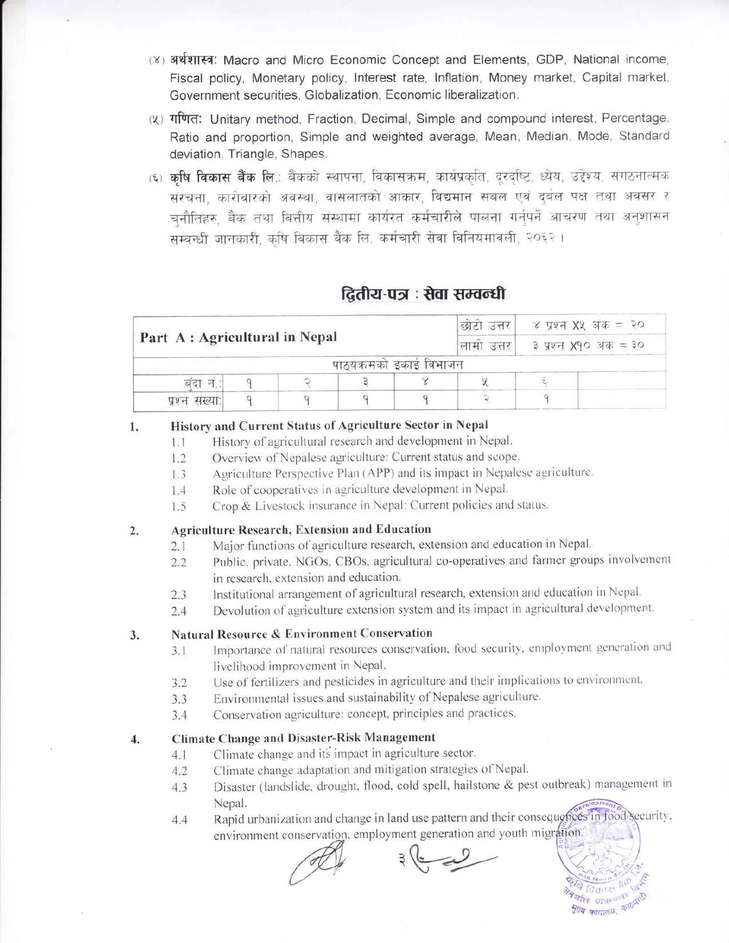- (४) अर्थशास्त्र: Macro and Micro Economic Concept and Elements, GDP, National income, Fiscal policy, Monetary policy, Interest rate, Inflation, Money market, Capital market, Government securities, Globalization, Economic liberalization.
- (५) गणित: Unitary method, Fraction, Decimal, Simple and compound interest, Percentage, Ratio and proportion, Simple and weighted average, Mean, Median, Mode, Standard deviation, Triangle, Shapes.
- (६) कृषि विकास बैंक लि.: बैंकको स्थापना, विकासक्रम, कार्यप्रकृति, दरदृष्टि, ध्येय, उद्देश्य, संगठनात्मक संरचना, कारोवारको अवस्था, वासलातको आकार, विद्यमान सबल एवं दुर्बल पक्ष तथा अवसर र चनौतिहरु बैंक तथा वित्तीय संस्थामा कार्यरत कर्मचारीले पालना गर्नपर्ने आचरण तथा अनुशासन सम्बन्धी जानकारी, कृषि विकास बैंक लि. कर्मचारी सेवा विनियमावली, २०६२।

## द्वितीय-पत्र : सेवा सम्वन्धी

|                               |  | ४ प्रश्न XX अंक = २०<br>छोटो उत्तर |                        |  |  |  |
|-------------------------------|--|------------------------------------|------------------------|--|--|--|
| Part A: Agricultural in Nepal |  | लामा उत्तर।                        | ३ प्रश्न X90 अंक = ३०  |  |  |  |
|                               |  |                                    | पाठयक्रमको इकाई विभाजन |  |  |  |
| बदा न.                        |  |                                    |                        |  |  |  |
| प्रश्न संख्या:                |  |                                    |                        |  |  |  |

#### History and Current Status of Agriculture Sector in Nepal 1.

- History of agricultural research and development in Nepal.  $1.1$
- Overview of Nepalese agriculture: Current status and scope.  $1.2$
- Agriculture Perspective Plan (APP) and its impact in Nepalese agriculture.  $1.3$
- Role of cooperatives in agriculture development in Nepal. 1.4
- Crop & Livestock insurance in Nepal: Current policies and status.  $1.5$

#### **Agriculture Research, Extension and Education**  $2.$

- Major functions of agriculture research, extension and education in Nepal.  $2.1$ 
	- Public, private, NGOs, CBOs, agricultural co-operatives and farmer groups involvement  $2.2$ in research, extension and education.
	- Institutional arrangement of agricultural research, extension and education in Nepal.  $2.3$
	- Devolution of agriculture extension system and its impact in agricultural development.  $2.4$

#### Natural Resource & Environment Conservation  $3.$

- Importance of natural resources conservation, food security, employment generation and  $3.1$ livelihood improvement in Nepal.
- Use of fertilizers and pesticides in agriculture and their implications to environment.  $3.2$
- Environmental issues and sustainability of Nepalese agriculture. 3.3
- Conservation agriculture: concept, principles and practices.  $3.4$

#### **Climate Change and Disaster-Risk Management**  $\overline{4}$ .

- Climate change and its impact in agriculture sector.  $4.1$
- Climate change adaptation and mitigation strategies of Nepal.  $4.2$
- Disaster (landslide, drought, flood, cold spell, hailstone & pest outbreak) management in 4.3 Nepal.
- Rapid urbanization and change in land use pattern and their consequences in food security, 4.4 environment conservation, employment generation and youth migration.

 $\mathbb{Z}$ 

*<sup>पु</sup>ल्य* कारालय.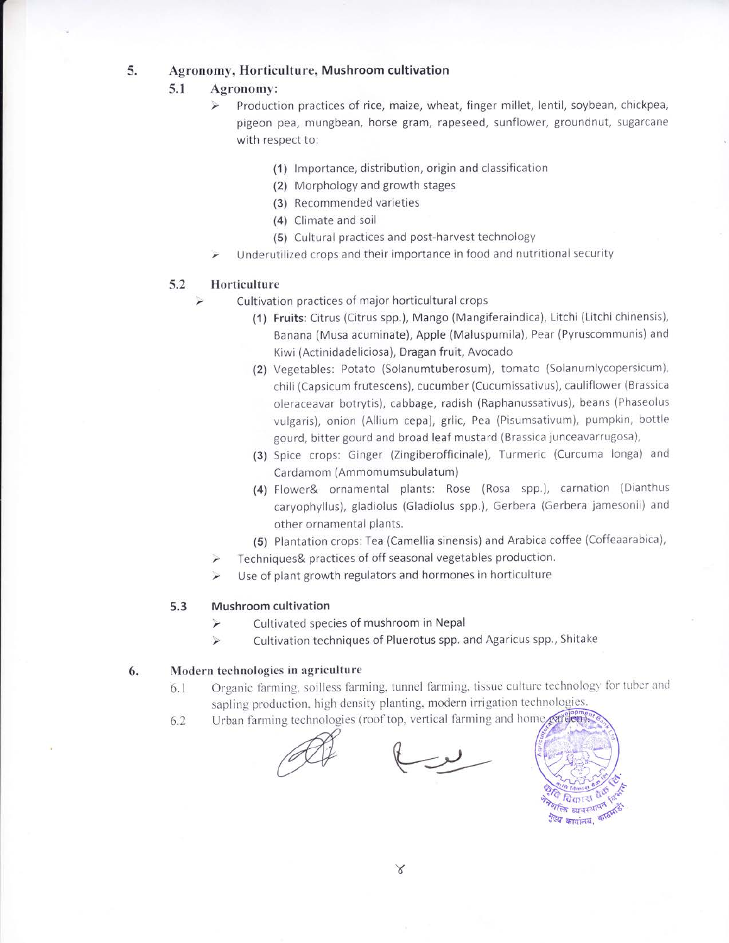#### 5. Agronomy, Horticulture, Mushroom cultivation

#### 5.1 Agronomy:

- Production practices of rice, maize, wheat, finger millet, lentil, soybean, chickpea, ⋗ pigeon pea, mungbean, horse gram, rapeseed, sunflower, groundnut, sugarcane with respect to:
	- (1) lmportance, distribution, origin and classification
	- (2) Morphology and growth stages
	- (3) Recommended varieties
	- (4) Climate and soil
	- (5) Cultural practices and post-harvest technology
- Underutilized crops and their importance in food and nutritional security

#### 5.2 Horticulture

- Cultivation practices of major horticultural crops
	- (1) Fruits: Citrus (Citrus spp.), Mango (Mangiferaindica), Litchi (Litchi chinensis), Banana (Musa acuminate), Apple (Maluspumila), Pear (Pyruscommunis) and Kiwi (Actinidadeliciosa), Dragan fruit, Avocado
	- (2) Vegetables: Potato (Solanumtuberosum), tomato (Solanumlycopersicum), chili (Capsicum frutescens), cucumber (Cucumissativus), cauliflower (Brassica oleraceavar botrytis), cabbage, radish (Raphanussativus), beans (Phaseolus vulgaris), onion (Allium cepa), grlic, Pea (Pisumsativum), pumpkin, bottle gourd, bitter gourd and broad leaf mustard (Brassica junceavarrugosa),
	- (3) Spice crops: Ginger (Zingiberofficinale), Turmeric (Curcuma longa) and Cardamom (Ammomumsubulatum)
	- (4) Flower& ornamental plants: Rose (Rosa spp.), carnation (Dianthus caryophyllus), gladiolus (Gladiolus spp.), Gerbera (Gerbera jamesonii) and other ornamental plants.
	- (5) Plantation crops: Tea (Camellia sinensis) and Arabica coffee (Coffeaarabica),
	- Techniques& practices of off seasonal vegetables production.
	- Use of plant growth regulators and hormones in horticulture

#### Mushroom cultivation 5.3

- Cultivated species of mushroom in Nepal ⋗
- Cultivation techniques of Pluerotus spp. and Agaricus spp., Shitake  $\blacktriangleright$

#### Modern technologies in agriculture 6.

- 6.1 Organic farming, soilless farming, tunnel farming, tissue culturc technology' for tuber and sapling production, high density planting, modern irrigation technologies.
- 6.2 Urban farming technologies (roof top, vertical farming and home certifien).



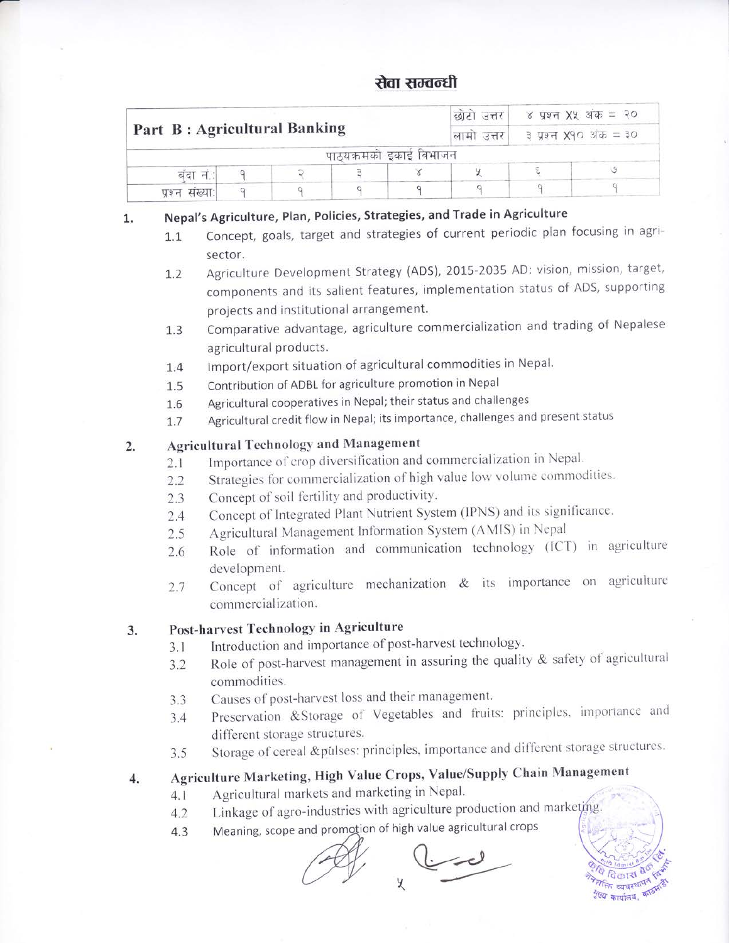# रोवा सम्वन्धी

|                              |  | ४ प्रश्न XX अंक = २०<br>छोटा उत्तर |  |                       |  |  |
|------------------------------|--|------------------------------------|--|-----------------------|--|--|
| Part B: Agricultural Banking |  | लामा उत्तर।                        |  | ३ प्रश्न X90 अंक = ३० |  |  |
|                              |  | पाठयक्रमको इकाई विभाजन             |  |                       |  |  |
| बंदा न.                      |  |                                    |  |                       |  |  |
| प्रश्न संख्या:               |  |                                    |  |                       |  |  |

#### Nepal's Agriculture, Plan, Policies, Strategies, and Trade in Agriculture 1.

1.1 Concept, goals, target and strategies of current periodic plan focusing in agrisector.

1.2 Agriculture Development Strategy (ADS), 2015-2035 AD: vision, mission, target, components and its salient features, implementation status of ADS, supporting projects and institutional arrangement.

- 1.3 Comparative advantage, agriculture commercialization and trading of Nepalese agricultural products.
- L.4 lmport/export situation of agricultural commodities in Nepal.
- 1.5 Contribution of ADBL for agriculture promotion in Nepal
- 1.6 Agricultural cooperatives in Nepal; their status and challenges
- 1.7 Agricultural credit flow in Nepal; its importance, challenges and present status

#### 2. Agricultural Technology and Management

- 2.1 Importance of crop diversification and commercialization in Nepal.
- 2.2 Strategies for commercialization of high value low volume commodities.
- 2.3 Concept of soil fertility and productivity.
- 2.4 Concept of Integrated Plant Nutrient System (IPNS) and its significance.
- 2.5 Agricultural Management Information System (AMIS) in Nepal
- 2.6 Role of information and communication technology (lCT) in agriculture development.
- 2.7 Concept of agriculture mechanization & its importance on agriculture commercialization.

### 3. Post-harvest Technology in Agriculture

- 3.1 Introduction and importance of post-harvest technology.
- 3.2 Role of post-harvest management in assuring the quality & safety of agricultural commodities.
- 3.3 Causes of post-harvest loss and their management.
- 3.4 Preservation &Storage of Vegetables and fruits: principles, importance and different storage structures.
- 3.5 Storage of cereal &pulses: principles, importance and different storage structures.

# 4. Agriculture Marketing, High value crops, value/Supply chain Management

- 4.1 Agricultural markets and marketing in Nepal'
- 4.2 Linkage of agro-industries with agriculture production and marketing.
- 4.3 Meaning, scope and promotion of high value agricultural crops